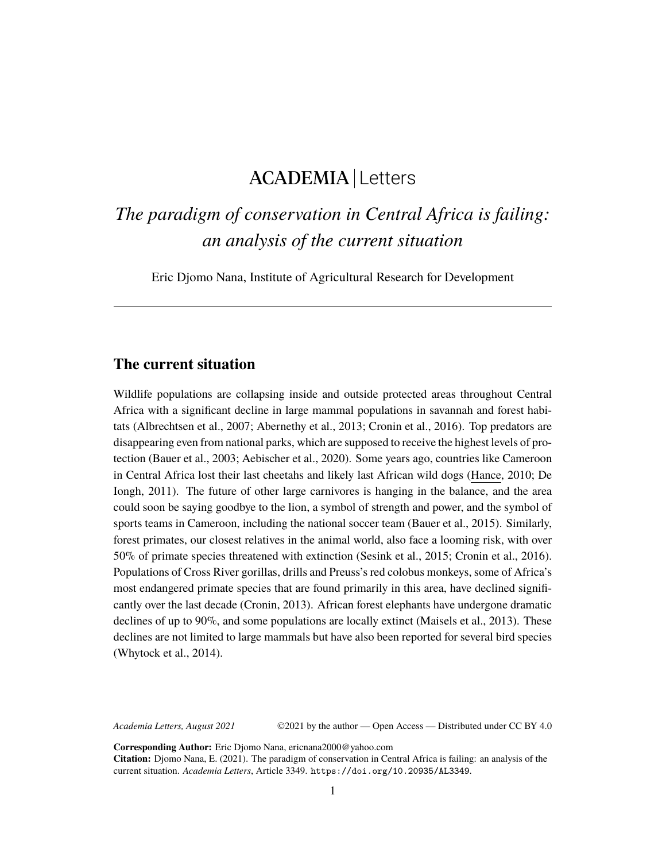## ACADEMIA Letters

# *The paradigm of conservation in Central Africa is failing: an analysis of the current situation*

Eric Djomo Nana, Institute of Agricultural Research for Development

#### **The current situation**

Wildlife populations are collapsing inside and outside protected areas throughout Central Africa with a significant decline in large mammal populations in savannah and forest habitats (Albrechtsen et al., 2007; Abernethy et al., 2013; Cronin et al., 2016). Top predators are disappearing even from national parks, which are supposed to receive the highest levels of protection (Bauer et al., 2003; Aebischer et al., 2020). Some years ago, countries like Cameroon in Central Africa lost their last cheetahs and likely last African wild dogs [\(Hance,](https://news.mongabay.com/by/jeremy-hance/) 2010; De Iongh, 2011). The future of other large carnivores is hanging in the balance, and the area could soon be saying goodbye to the lion, a symbol of strength and power, and the symbol of sports teams in Cameroon, including the national soccer team (Bauer et al., 2015). Similarly, forest primates, our closest relatives in the animal world, also face a looming risk, with over 50% of primate species threatened with extinction (Sesink et al., 2015; Cronin et al., 2016). Populations of Cross River gorillas, drills and Preuss's red colobus monkeys, some of Africa's most endangered primate species that are found primarily in this area, have declined significantly over the last decade (Cronin, 2013). African forest elephants have undergone dramatic declines of up to 90%, and some populations are locally extinct (Maisels et al., 2013). These declines are not limited to large mammals but have also been reported for several bird species (Whytock et al., 2014).

*Academia Letters, August 2021* ©2021 by the author — Open Access — Distributed under CC BY 4.0

**Corresponding Author:** Eric Djomo Nana, ericnana2000@yahoo.com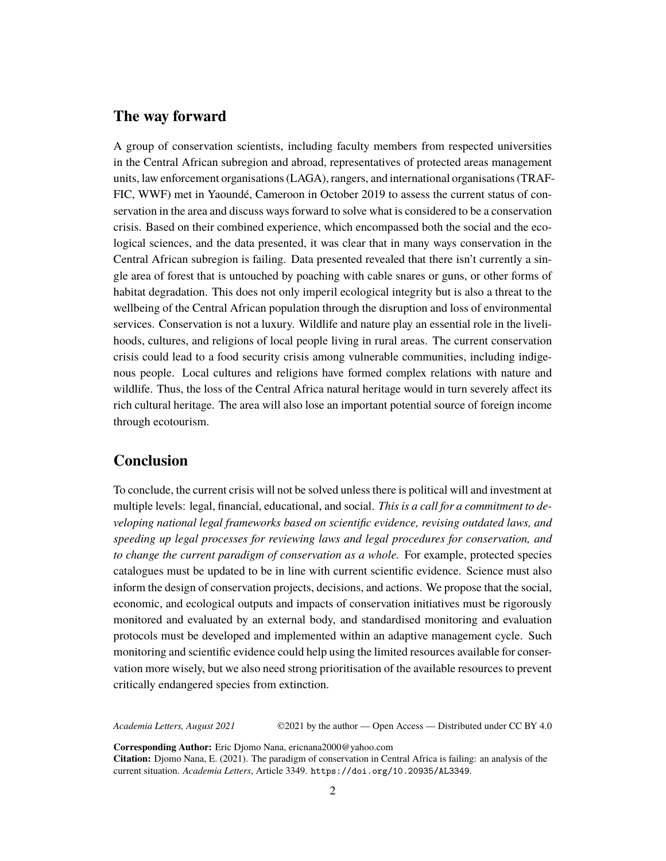#### **The way forward**

A group of conservation scientists, including faculty members from respected universities in the Central African subregion and abroad, representatives of protected areas management units, law enforcement organisations (LAGA), rangers, and international organisations (TRAF-FIC, WWF) met in Yaoundé, Cameroon in October 2019 to assess the current status of conservation in the area and discuss ways forward to solve what is considered to be a conservation crisis. Based on their combined experience, which encompassed both the social and the ecological sciences, and the data presented, it was clear that in many ways conservation in the Central African subregion is failing. Data presented revealed that there isn't currently a single area of forest that is untouched by poaching with cable snares or guns, or other forms of habitat degradation. This does not only imperil ecological integrity but is also a threat to the wellbeing of the Central African population through the disruption and loss of environmental services. Conservation is not a luxury. Wildlife and nature play an essential role in the livelihoods, cultures, and religions of local people living in rural areas. The current conservation crisis could lead to a food security crisis among vulnerable communities, including indigenous people. Local cultures and religions have formed complex relations with nature and wildlife. Thus, the loss of the Central Africa natural heritage would in turn severely affect its rich cultural heritage. The area will also lose an important potential source of foreign income through ecotourism.

## **Conclusion**

To conclude, the current crisis will not be solved unless there is political will and investment at multiple levels: legal, financial, educational, and social. *This is a call for a commitment to developing national legal frameworks based on scientific evidence, revising outdated laws, and speeding up legal processes for reviewing laws and legal procedures for conservation, and to change the current paradigm of conservation as a whole.* For example, protected species catalogues must be updated to be in line with current scientific evidence. Science must also inform the design of conservation projects, decisions, and actions. We propose that the social, economic, and ecological outputs and impacts of conservation initiatives must be rigorously monitored and evaluated by an external body, and standardised monitoring and evaluation protocols must be developed and implemented within an adaptive management cycle. Such monitoring and scientific evidence could help using the limited resources available for conservation more wisely, but we also need strong prioritisation of the available resources to prevent critically endangered species from extinction.

*Academia Letters, August 2021* ©2021 by the author — Open Access — Distributed under CC BY 4.0

**Corresponding Author:** Eric Djomo Nana, ericnana2000@yahoo.com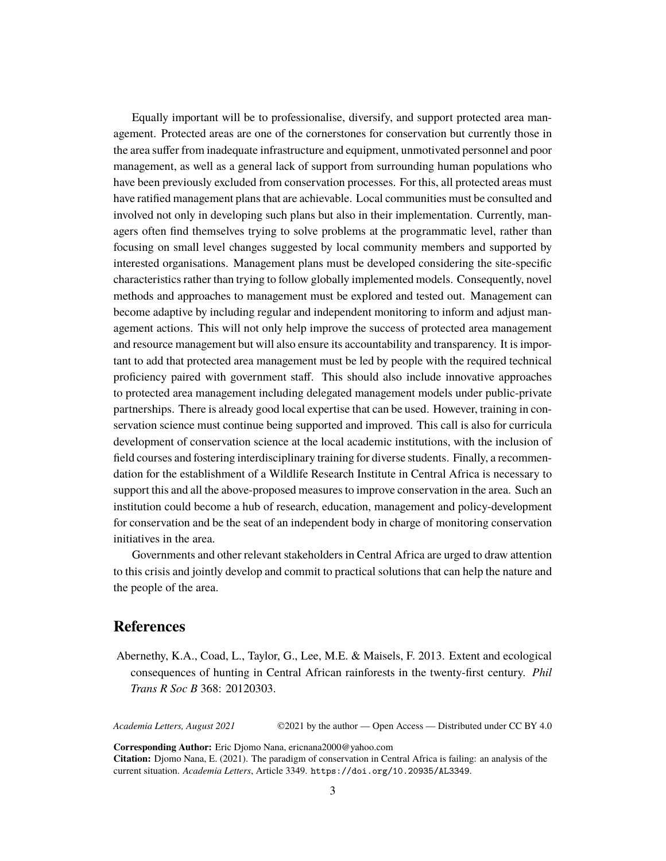Equally important will be to professionalise, diversify, and support protected area management. Protected areas are one of the cornerstones for conservation but currently those in the area suffer from inadequate infrastructure and equipment, unmotivated personnel and poor management, as well as a general lack of support from surrounding human populations who have been previously excluded from conservation processes. For this, all protected areas must have ratified management plans that are achievable. Local communities must be consulted and involved not only in developing such plans but also in their implementation. Currently, managers often find themselves trying to solve problems at the programmatic level, rather than focusing on small level changes suggested by local community members and supported by interested organisations. Management plans must be developed considering the site-specific characteristics rather than trying to follow globally implemented models. Consequently, novel methods and approaches to management must be explored and tested out. Management can become adaptive by including regular and independent monitoring to inform and adjust management actions. This will not only help improve the success of protected area management and resource management but will also ensure its accountability and transparency. It is important to add that protected area management must be led by people with the required technical proficiency paired with government staff. This should also include innovative approaches to protected area management including delegated management models under public-private partnerships. There is already good local expertise that can be used. However, training in conservation science must continue being supported and improved. This call is also for curricula development of conservation science at the local academic institutions, with the inclusion of field courses and fostering interdisciplinary training for diverse students. Finally, a recommendation for the establishment of a Wildlife Research Institute in Central Africa is necessary to support this and all the above-proposed measures to improve conservation in the area. Such an institution could become a hub of research, education, management and policy-development for conservation and be the seat of an independent body in charge of monitoring conservation initiatives in the area.

Governments and other relevant stakeholders in Central Africa are urged to draw attention to this crisis and jointly develop and commit to practical solutions that can help the nature and the people of the area.

### **References**

Abernethy, K.A., Coad, L., Taylor, G., Lee, M.E. & Maisels, F. 2013. Extent and ecological consequences of hunting in Central African rainforests in the twenty-first century. *Phil Trans R Soc B* 368: 20120303.

*Academia Letters, August 2021* ©2021 by the author — Open Access — Distributed under CC BY 4.0

**Corresponding Author:** Eric Djomo Nana, ericnana2000@yahoo.com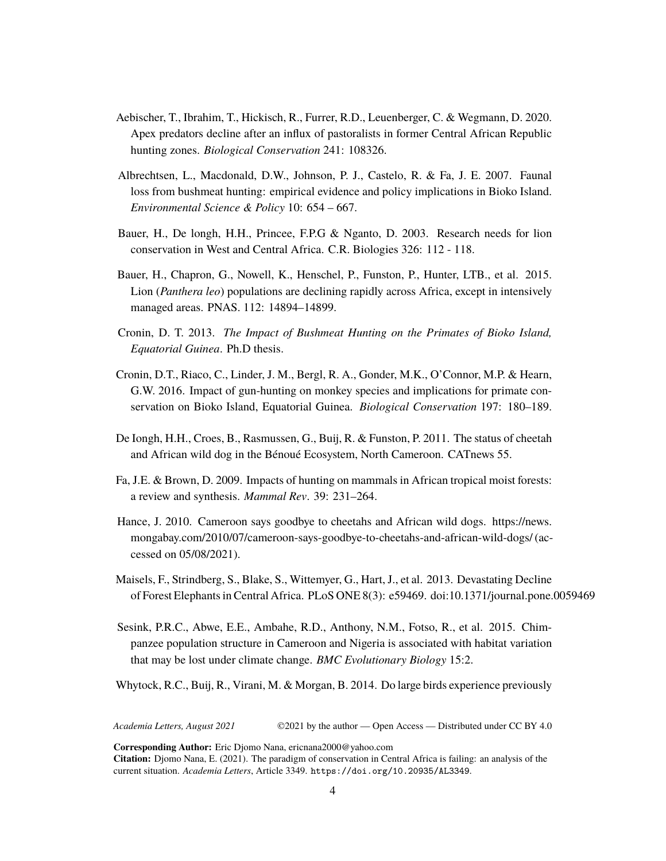- Aebischer, T., Ibrahim, T., Hickisch, R., Furrer, R.D., Leuenberger, C. & Wegmann, D. 2020. Apex predators decline after an influx of pastoralists in former Central African Republic hunting zones. *Biological Conservation* 241: 108326.
- Albrechtsen, L., Macdonald, D.W., Johnson, P. J., Castelo, R. & Fa, J. E. 2007. Faunal loss from bushmeat hunting: empirical evidence and policy implications in Bioko Island. *Environmental Science & Policy* 10: 654 – 667.
- Bauer, H., De longh, H.H., Princee, F.P.G & Nganto, D. 2003. Research needs for lion conservation in West and Central Africa. C.R. Biologies 326: 112 - 118.
- Bauer, H., Chapron, G., Nowell, K., Henschel, P., Funston, P., Hunter, LTB., et al. 2015. Lion (*Panthera leo*) populations are declining rapidly across Africa, except in intensively managed areas. PNAS. 112: 14894–14899.
- Cronin, D. T. 2013. *The Impact of Bushmeat Hunting on the Primates of Bioko Island, Equatorial Guinea*. Ph.D thesis.
- Cronin, D.T., Riaco, C., Linder, J. M., Bergl, R. A., Gonder, M.K., O'Connor, M.P. & Hearn, G.W. 2016. Impact of gun-hunting on monkey species and implications for primate conservation on Bioko Island, Equatorial Guinea. *Biological Conservation* 197: 180–189.
- De Iongh, H.H., Croes, B., Rasmussen, G., Buij, R. & Funston, P. 2011. The status of cheetah and African wild dog in the Bénoué Ecosystem, North Cameroon. CATnews 55.
- Fa, J.E. & Brown, D. 2009. Impacts of hunting on mammals in African tropical moist forests: a review and synthesis. *Mammal Rev*. 39: 231–264.
- Hance, J. 2010. Cameroon says goodbye to cheetahs and African wild dogs. [https://news.](https://news.mongabay.com/2010/07/cameroon-says-goodbye-to-cheetahs-and-african-wild-dogs/) [mongabay.com/2010/07/cameroon-says-goodbye-to-cheetahs-and-african-wild-dogs/](https://news.mongabay.com/2010/07/cameroon-says-goodbye-to-cheetahs-and-african-wild-dogs/) (accessed on 05/08/2021).
- Maisels, F., Strindberg, S., Blake, S., Wittemyer, G., Hart, J., et al. 2013. Devastating Decline of Forest Elephants in Central Africa. PLoS ONE 8(3): e59469. doi:10.1371/journal.pone.0059469
- Sesink, P.R.C., Abwe, E.E., Ambahe, R.D., Anthony, N.M., Fotso, R., et al. 2015. Chimpanzee population structure in Cameroon and Nigeria is associated with habitat variation that may be lost under climate change. *BMC Evolutionary Biology* 15:2.
- Whytock, R.C., Buij, R., Virani, M. & Morgan, B. 2014. Do large birds experience previously

*Academia Letters, August 2021* ©2021 by the author — Open Access — Distributed under CC BY 4.0

**Corresponding Author:** Eric Djomo Nana, ericnana2000@yahoo.com